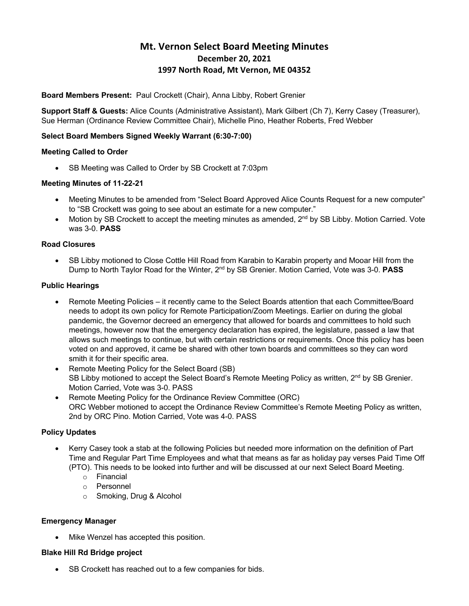# **Mt. Vernon Select Board Meeting Minutes December 20, 2021 1997 North Road, Mt Vernon, ME 04352**

#### **Board Members Present:** Paul Crockett (Chair), Anna Libby, Robert Grenier

**Support Staff & Guests:** Alice Counts (Administrative Assistant), Mark Gilbert (Ch 7), Kerry Casey (Treasurer), Sue Herman (Ordinance Review Committee Chair), Michelle Pino, Heather Roberts, Fred Webber

#### **Select Board Members Signed Weekly Warrant (6:30-7:00)**

#### **Meeting Called to Order**

• SB Meeting was Called to Order by SB Crockett at 7:03pm

#### **Meeting Minutes of 11-22-21**

- Meeting Minutes to be amended from "Select Board Approved Alice Counts Request for a new computer" to "SB Crockett was going to see about an estimate for a new computer."
- Motion by SB Crockett to accept the meeting minutes as amended,  $2^{nd}$  by SB Libby. Motion Carried. Vote was 3-0. **PASS**

#### **Road Closures**

• SB Libby motioned to Close Cottle Hill Road from Karabin to Karabin property and Mooar Hill from the Dump to North Taylor Road for the Winter, 2nd by SB Grenier. Motion Carried, Vote was 3-0. **PASS**

#### **Public Hearings**

- Remote Meeting Policies it recently came to the Select Boards attention that each Committee/Board needs to adopt its own policy for Remote Participation/Zoom Meetings. Earlier on during the global pandemic, the Governor decreed an emergency that allowed for boards and committees to hold such meetings, however now that the emergency declaration has expired, the legislature, passed a law that allows such meetings to continue, but with certain restrictions or requirements. Once this policy has been voted on and approved, it came be shared with other town boards and committees so they can word smith it for their specific area.
- Remote Meeting Policy for the Select Board (SB) SB Libby motioned to accept the Select Board's Remote Meeting Policy as written, 2<sup>nd</sup> by SB Grenier. Motion Carried, Vote was 3-0. PASS
- Remote Meeting Policy for the Ordinance Review Committee (ORC) ORC Webber motioned to accept the Ordinance Review Committee's Remote Meeting Policy as written, 2nd by ORC Pino. Motion Carried, Vote was 4-0. PASS

#### **Policy Updates**

- Kerry Casey took a stab at the following Policies but needed more information on the definition of Part Time and Regular Part Time Employees and what that means as far as holiday pay verses Paid Time Off (PTO). This needs to be looked into further and will be discussed at our next Select Board Meeting.
	- o Financial
	- o Personnel
	- o Smoking, Drug & Alcohol

#### **Emergency Manager**

Mike Wenzel has accepted this position.

#### **Blake Hill Rd Bridge project**

SB Crockett has reached out to a few companies for bids.